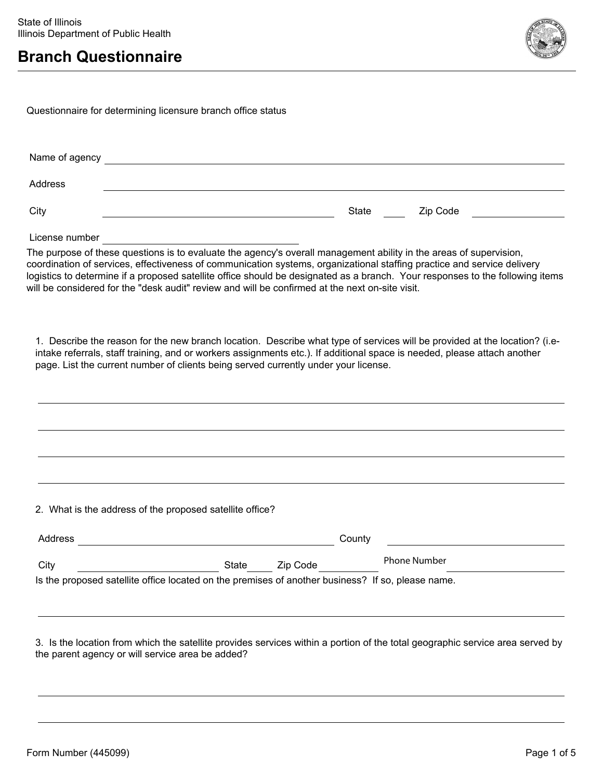

Questionnaire for determining licensure branch office status

| Name of agency |       |          |
|----------------|-------|----------|
| Address        |       |          |
| City           | State | Zip Code |

License number

The purpose of these questions is to evaluate the agency's overall management ability in the areas of supervision, coordination of services, effectiveness of communication systems, organizational staffing practice and service delivery logistics to determine if a proposed satellite office should be designated as a branch. Your responses to the following items will be considered for the "desk audit" review and will be confirmed at the next on-site visit.

1. Describe the reason for the new branch location. Describe what type of services will be provided at the location? (i.eintake referrals, staff training, and or workers assignments etc.). If additional space is needed, please attach another page. List the current number of clients being served currently under your license.

2. What is the address of the proposed satellite office?

| Address                                                                                           |       |          | County              |  |
|---------------------------------------------------------------------------------------------------|-------|----------|---------------------|--|
| City                                                                                              | State | Zip Code | <b>Phone Number</b> |  |
| Is the proposed satellite office located on the premises of another business? If so, please name. |       |          |                     |  |

3. Is the location from which the satellite provides services within a portion of the total geographic service area served by the parent agency or will service area be added?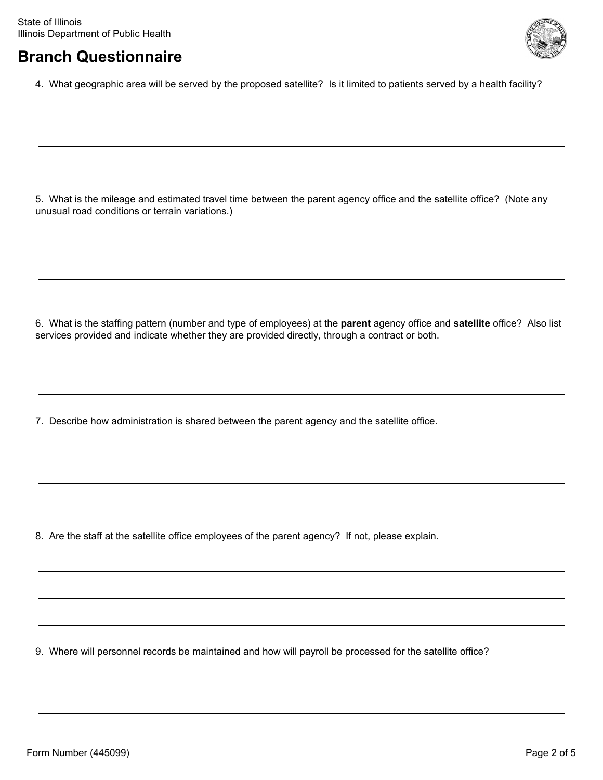

4. What geographic area will be served by the proposed satellite? Is it limited to patients served by a health facility?

5. What is the mileage and estimated travel time between the parent agency office and the satellite office? (Note any unusual road conditions or terrain variations.)

6. What is the staffing pattern (number and type of employees) at the **parent** agency office and **satellite** office? Also list services provided and indicate whether they are provided directly, through a contract or both.

7. Describe how administration is shared between the parent agency and the satellite office.

8. Are the staff at the satellite office employees of the parent agency? If not, please explain.

9. Where will personnel records be maintained and how will payroll be processed for the satellite office?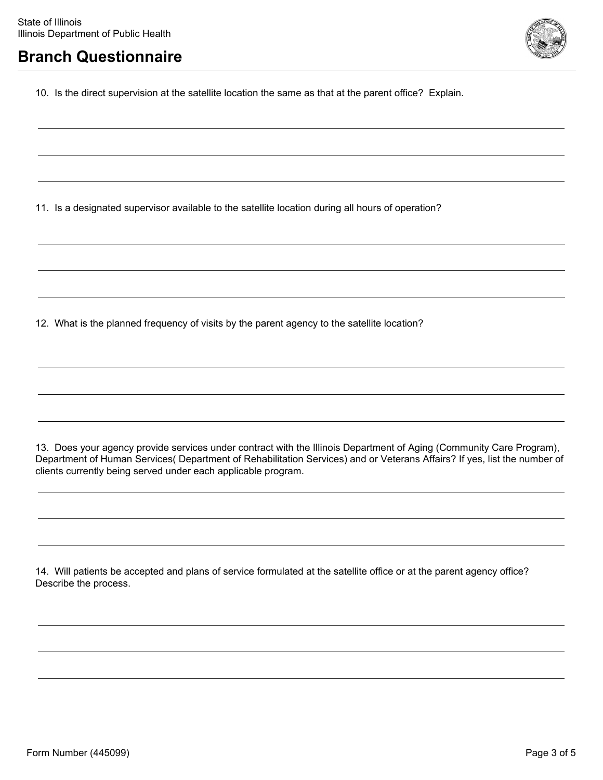

10. Is the direct supervision at the satellite location the same as that at the parent office? Explain.

11. Is a designated supervisor available to the satellite location during all hours of operation?

12. What is the planned frequency of visits by the parent agency to the satellite location?

13. Does your agency provide services under contract with the Illinois Department of Aging (Community Care Program), Department of Human Services( Department of Rehabilitation Services) and or Veterans Affairs? If yes, list the number of clients currently being served under each applicable program.

14. Will patients be accepted and plans of service formulated at the satellite office or at the parent agency office? Describe the process.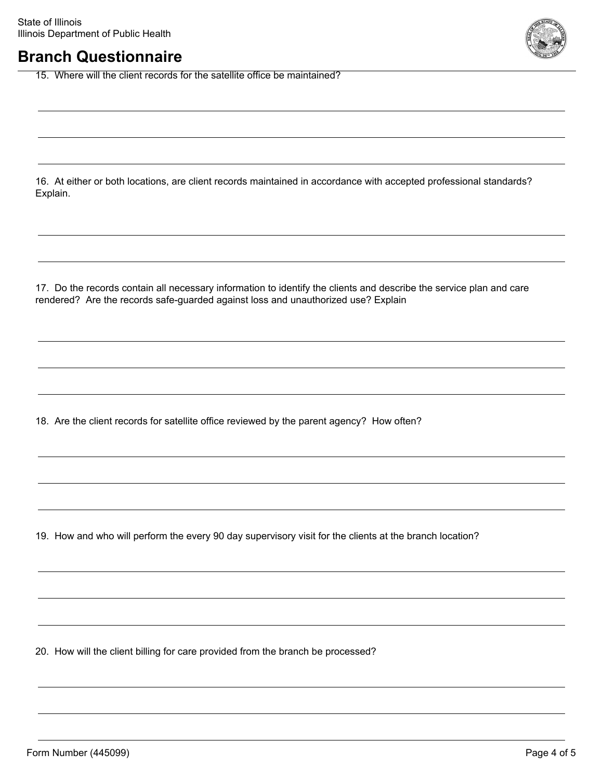15. Where will the client records for the satellite office be maintained?

16. At either or both locations, are client records maintained in accordance with accepted professional standards? Explain.

17. Do the records contain all necessary information to identify the clients and describe the service plan and care rendered? Are the records safe-guarded against loss and unauthorized use? Explain

18. Are the client records for satellite office reviewed by the parent agency? How often?

19. How and who will perform the every 90 day supervisory visit for the clients at the branch location?

20. How will the client billing for care provided from the branch be processed?